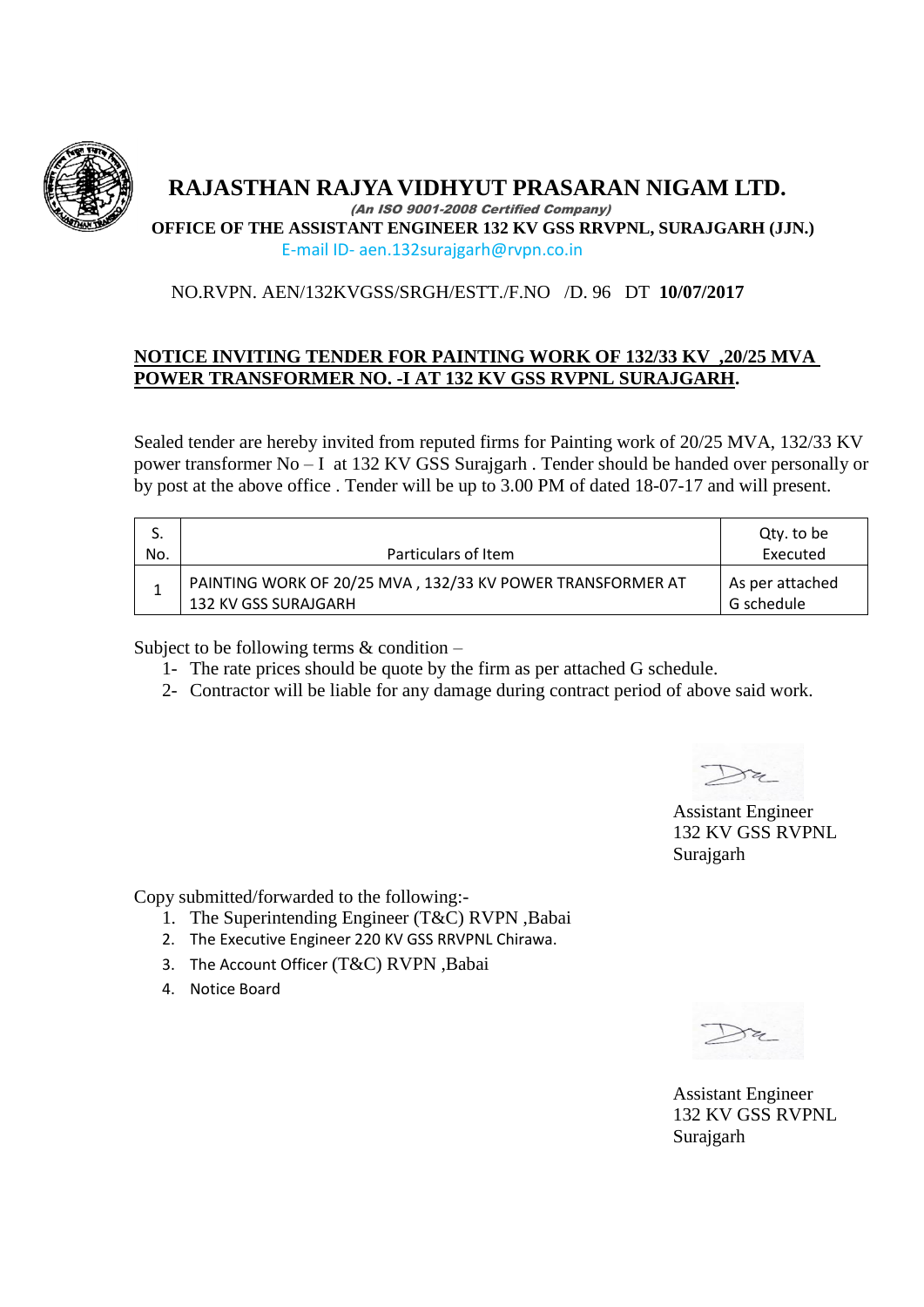

 **RAJASTHAN RAJYA VIDHYUT PRASARAN NIGAM LTD.**

 (An ISO 9001-2008 Certified Company) **OFFICE OF THE ASSISTANT ENGINEER 132 KV GSS RRVPNL, SURAJGARH (JJN.)**

E-mail ID- aen.132surajgarh@rvpn.co.in

## NO.RVPN. AEN/132KVGSS/SRGH/ESTT./F.NO /D. 96 DT **10/07/2017**

## **NOTICE INVITING TENDER FOR PAINTING WORK OF 132/33 KV ,20/25 MVA POWER TRANSFORMER NO. -I AT 132 KV GSS RVPNL SURAJGARH.**

Sealed tender are hereby invited from reputed firms for Painting work of 20/25 MVA, 132/33 KV power transformer No – I at 132 KV GSS Surajgarh . Tender should be handed over personally or by post at the above office . Tender will be up to 3.00 PM of dated 18-07-17 and will present.

|     |                                                                                    | Qty. to be                    |
|-----|------------------------------------------------------------------------------------|-------------------------------|
| No. | Particulars of Item                                                                | Executed                      |
|     | PAINTING WORK OF 20/25 MVA, 132/33 KV POWER TRANSFORMER AT<br>132 KV GSS SURAJGARH | As per attached<br>G schedule |

Subject to be following terms & condition –

- 1- The rate prices should be quote by the firm as per attached G schedule.
- 2- Contractor will be liable for any damage during contract period of above said work.

Assistant Engineer 132 KV GSS RVPNL Surajgarh

Copy submitted/forwarded to the following:-

- 1. The Superintending Engineer (T&C) RVPN ,Babai
- 2. The Executive Engineer 220 KV GSS RRVPNL Chirawa.
- 3. The Account Officer (T&C) RVPN ,Babai
- 4. Notice Board

Assistant Engineer 132 KV GSS RVPNL Surajgarh